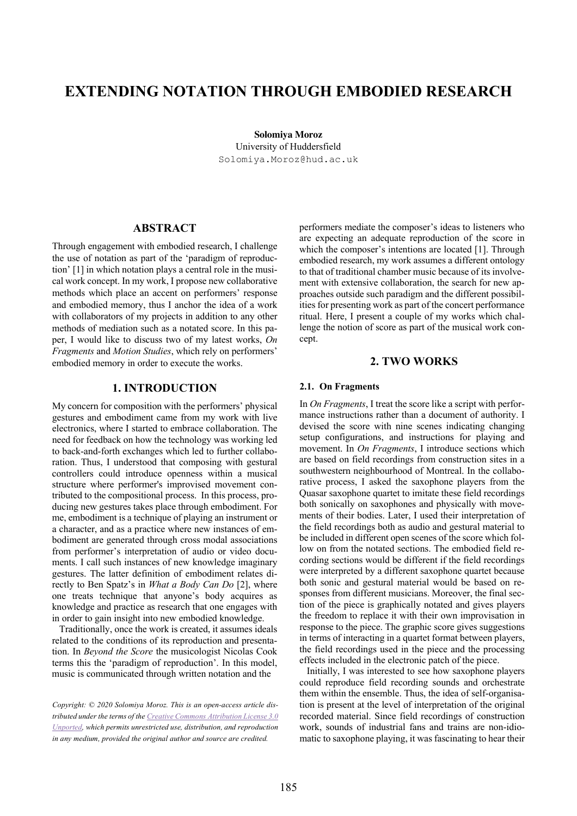# **EXTENDING NOTATION THROUGH EMBODIED RESEARCH**

**Solomiya Moroz**  University of Huddersfield Solomiya.Moroz@hud.ac.uk

## **ABSTRACT**

Through engagement with embodied research, I challenge the use of notation as part of the 'paradigm of reproduction' [1] in which notation plays a central role in the musical work concept. In my work, I propose new collaborative methods which place an accent on performers' response and embodied memory, thus I anchor the idea of a work with collaborators of my projects in addition to any other methods of mediation such as a notated score. In this paper, I would like to discuss two of my latest works, *On Fragments* and *Motion Studies*, which rely on performers' embodied memory in order to execute the works.

# **1. INTRODUCTION**

My concern for composition with the performers' physical gestures and embodiment came from my work with live electronics, where I started to embrace collaboration. The need for feedback on how the technology was working led to back-and-forth exchanges which led to further collaboration. Thus, I understood that composing with gestural controllers could introduce openness within a musical structure where performer's improvised movement contributed to the compositional process. In this process, producing new gestures takes place through embodiment. For me, embodiment is a technique of playing an instrument or a character, and as a practice where new instances of embodiment are generated through cross modal associations from performer's interpretation of audio or video documents. I call such instances of new knowledge imaginary gestures. The latter definition of embodiment relates directly to Ben Spatz's in *What a Body Can Do* [2], where one treats technique that anyone's body acquires as knowledge and practice as research that one engages with in order to gain insight into new embodied knowledge.

 Traditionally, once the work is created, it assumes ideals related to the conditions of its reproduction and presentation. In *Beyond the Score* the musicologist Nicolas Cook terms this the 'paradigm of reproduction'. In this model, music is communicated through written notation and the

performers mediate the composer's ideas to listeners who are expecting an adequate reproduction of the score in which the composer's intentions are located [1]. Through embodied research, my work assumes a different ontology to that of traditional chamber music because of its involvement with extensive collaboration, the search for new approaches outside such paradigm and the different possibilities for presenting work as part of the concert performance ritual. Here, I present a couple of my works which challenge the notion of score as part of the musical work concept.

### **2. TWO WORKS**

#### **2.1. On Fragments**

In *On Fragments*, I treat the score like a script with performance instructions rather than a document of authority. I devised the score with nine scenes indicating changing setup configurations, and instructions for playing and movement. In *On Fragments*, I introduce sections which are based on field recordings from construction sites in a southwestern neighbourhood of Montreal. In the collaborative process, I asked the saxophone players from the Quasar saxophone quartet to imitate these field recordings both sonically on saxophones and physically with movements of their bodies. Later, I used their interpretation of the field recordings both as audio and gestural material to be included in different open scenes of the score which follow on from the notated sections. The embodied field recording sections would be different if the field recordings were interpreted by a different saxophone quartet because both sonic and gestural material would be based on responses from different musicians. Moreover, the final section of the piece is graphically notated and gives players the freedom to replace it with their own improvisation in response to the piece. The graphic score gives suggestions in terms of interacting in a quartet format between players, the field recordings used in the piece and the processing effects included in the electronic patch of the piece.

 Initially, I was interested to see how saxophone players could reproduce field recording sounds and orchestrate them within the ensemble. Thus, the idea of self-organisation is present at the level of interpretation of the original recorded material. Since field recordings of construction work, sounds of industrial fans and trains are non-idiomatic to saxophone playing, it was fascinating to hear their

*Copyright: © 2020 Solomiya Moroz. This is an open-access article distributed under the terms of the Creative Commons Attribution License 3.0 Unported, which permits unrestricted use, distribution, and reproduction in any medium, provided the original author and source are credited.*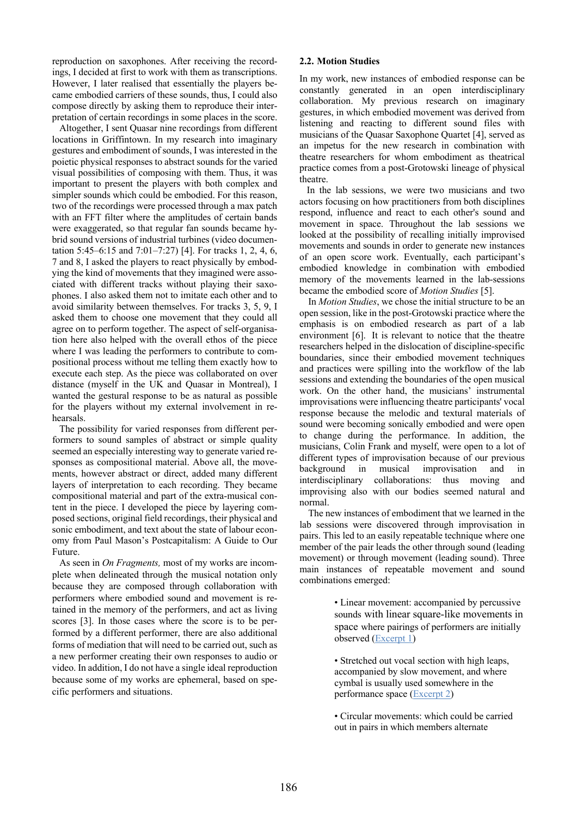reproduction on saxophones. After receiving the recordings, I decided at first to work with them as transcriptions. However, I later realised that essentially the players became embodied carriers of these sounds, thus, I could also compose directly by asking them to reproduce their interpretation of certain recordings in some places in the score.

 Altogether, I sent Quasar nine recordings from different locations in Griffintown. In my research into imaginary gestures and embodiment of sounds, I was interested in the poietic physical responses to abstract sounds for the varied visual possibilities of composing with them. Thus, it was important to present the players with both complex and simpler sounds which could be embodied. For this reason, two of the recordings were processed through a max patch with an FFT filter where the amplitudes of certain bands were exaggerated, so that regular fan sounds became hybrid sound versions of industrial turbines (video documentation 5:45–6:15 and 7:01–7:27) [4]. For tracks 1, 2, 4, 6, 7 and 8, I asked the players to react physically by embodying the kind of movements that they imagined were associated with different tracks without playing their saxophones. I also asked them not to imitate each other and to avoid similarity between themselves. For tracks 3, 5, 9, I asked them to choose one movement that they could all agree on to perform together. The aspect of self-organisation here also helped with the overall ethos of the piece where I was leading the performers to contribute to compositional process without me telling them exactly how to execute each step. As the piece was collaborated on over distance (myself in the UK and Quasar in Montreal), I wanted the gestural response to be as natural as possible for the players without my external involvement in rehearsals.

 The possibility for varied responses from different performers to sound samples of abstract or simple quality seemed an especially interesting way to generate varied responses as compositional material. Above all, the movements, however abstract or direct, added many different layers of interpretation to each recording. They became compositional material and part of the extra-musical content in the piece. I developed the piece by layering composed sections, original field recordings, their physical and sonic embodiment, and text about the state of labour economy from Paul Mason's Postcapitalism: A Guide to Our Future.

 As seen in *On Fragments,* most of my works are incomplete when delineated through the musical notation only because they are composed through collaboration with performers where embodied sound and movement is retained in the memory of the performers, and act as living scores [3]. In those cases where the score is to be performed by a different performer, there are also additional forms of mediation that will need to be carried out, such as a new performer creating their own responses to audio or video. In addition, I do not have a single ideal reproduction because some of my works are ephemeral, based on specific performers and situations.

#### **2.2. Motion Studies**

In my work, new instances of embodied response can be constantly generated in an open interdisciplinary collaboration. My previous research on imaginary gestures, in which embodied movement was derived from listening and reacting to different sound files with musicians of the Quasar Saxophone Quartet [4], served as an impetus for the new research in combination with theatre researchers for whom embodiment as theatrical practice comes from a post-Grotowski lineage of physical theatre.

 In the lab sessions, we were two musicians and two actors focusing on how practitioners from both disciplines respond, influence and react to each other's sound and movement in space. Throughout the lab sessions we looked at the possibility of recalling initially improvised movements and sounds in order to generate new instances of an open score work. Eventually, each participant's embodied knowledge in combination with embodied memory of the movements learned in the lab-sessions became the embodied score of *Motion Studies* [5].

 In *Motion Studies*, we chose the initial structure to be an open session, like in the post-Grotowski practice where the emphasis is on embodied research as part of a lab environment [6]. It is relevant to notice that the theatre researchers helped in the dislocation of discipline-specific boundaries, since their embodied movement techniques and practices were spilling into the workflow of the lab sessions and extending the boundaries of the open musical work. On the other hand, the musicians' instrumental improvisations were influencing theatre participants' vocal response because the melodic and textural materials of sound were becoming sonically embodied and were open to change during the performance. In addition, the musicians, Colin Frank and myself, were open to a lot of different types of improvisation because of our previous background in musical improvisation and in interdisciplinary collaborations: thus moving and improvising also with our bodies seemed natural and normal.

 The new instances of embodiment that we learned in the lab sessions were discovered through improvisation in pairs. This led to an easily repeatable technique where one member of the pair leads the other through sound (leading movement) or through movement (leading sound). Three main instances of repeatable movement and sound combinations emerged:

> • Linear movement: accompanied by percussive sounds with linear square-like movements in space where pairings of performers are initially observed (Excerpt 1)

• Stretched out vocal section with high leaps, accompanied by slow movement, and where cymbal is usually used somewhere in the performance space (Excerpt 2)

• Circular movements: which could be carried out in pairs in which members alternate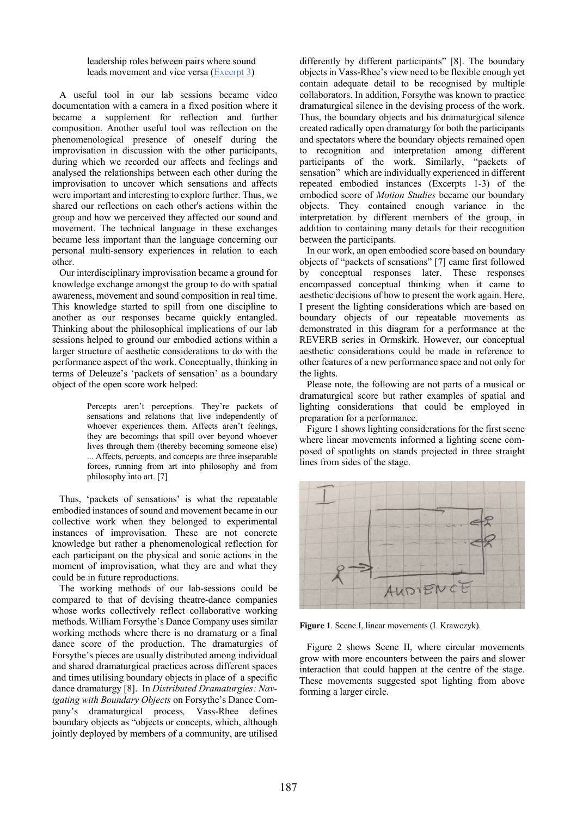leadership roles between pairs where sound leads movement and vice versa (Excerpt 3)

 A useful tool in our lab sessions became video documentation with a camera in a fixed position where it became a supplement for reflection and further composition. Another useful tool was reflection on the phenomenological presence of oneself during the improvisation in discussion with the other participants, during which we recorded our affects and feelings and analysed the relationships between each other during the improvisation to uncover which sensations and affects were important and interesting to explore further. Thus, we shared our reflections on each other's actions within the group and how we perceived they affected our sound and movement. The technical language in these exchanges became less important than the language concerning our personal multi-sensory experiences in relation to each other.

 Our interdisciplinary improvisation became a ground for knowledge exchange amongst the group to do with spatial awareness, movement and sound composition in real time. This knowledge started to spill from one discipline to another as our responses became quickly entangled. Thinking about the philosophical implications of our lab sessions helped to ground our embodied actions within a larger structure of aesthetic considerations to do with the performance aspect of the work. Conceptually, thinking in terms of Deleuze's 'packets of sensation' as a boundary object of the open score work helped:

> Percepts aren't perceptions. They're packets of sensations and relations that live independently of whoever experiences them. Affects aren't feelings, they are becomings that spill over beyond whoever lives through them (thereby becoming someone else) ... Affects, percepts, and concepts are three inseparable forces, running from art into philosophy and from philosophy into art. [7]

 Thus, 'packets of sensations' is what the repeatable embodied instances of sound and movement became in our collective work when they belonged to experimental instances of improvisation. These are not concrete knowledge but rather a phenomenological reflection for each participant on the physical and sonic actions in the moment of improvisation, what they are and what they could be in future reproductions.

 The working methods of our lab-sessions could be compared to that of devising theatre-dance companies whose works collectively reflect collaborative working methods. William Forsythe's Dance Company uses similar working methods where there is no dramaturg or a final dance score of the production. The dramaturgies of Forsythe's pieces are usually distributed among individual and shared dramaturgical practices across different spaces and times utilising boundary objects in place of a specific dance dramaturgy [8]. In *Distributed Dramaturgies: Navigating with Boundary Objects* on Forsythe's Dance Company's dramaturgical process*,* Vass-Rhee defines boundary objects as "objects or concepts, which, although jointly deployed by members of a community, are utilised

differently by different participants" [8]. The boundary objects in Vass-Rhee's view need to be flexible enough yet contain adequate detail to be recognised by multiple collaborators. In addition, Forsythe was known to practice dramaturgical silence in the devising process of the work. Thus, the boundary objects and his dramaturgical silence created radically open dramaturgy for both the participants and spectators where the boundary objects remained open to recognition and interpretation among different participants of the work. Similarly, "packets of sensation" which are individually experienced in different repeated embodied instances (Excerpts 1-3) of the embodied score of *Motion Studies* became our boundary objects. They contained enough variance in the interpretation by different members of the group, in addition to containing many details for their recognition between the participants.

 In our work, an open embodied score based on boundary objects of "packets of sensations" [7] came first followed by conceptual responses later. These responses encompassed conceptual thinking when it came to aesthetic decisions of how to present the work again. Here, I present the lighting considerations which are based on boundary objects of our repeatable movements as demonstrated in this diagram for a performance at the REVERB series in Ormskirk. However, our conceptual aesthetic considerations could be made in reference to other features of a new performance space and not only for the lights.

 Please note, the following are not parts of a musical or dramaturgical score but rather examples of spatial and lighting considerations that could be employed in preparation for a performance.

 Figure 1 shows lighting considerations for the first scene where linear movements informed a lighting scene composed of spotlights on stands projected in three straight lines from sides of the stage.



**Figure 1**. Scene I, linear movements (I. Krawczyk).

 Figure 2 shows Scene II, where circular movements grow with more encounters between the pairs and slower interaction that could happen at the centre of the stage. These movements suggested spot lighting from above forming a larger circle.